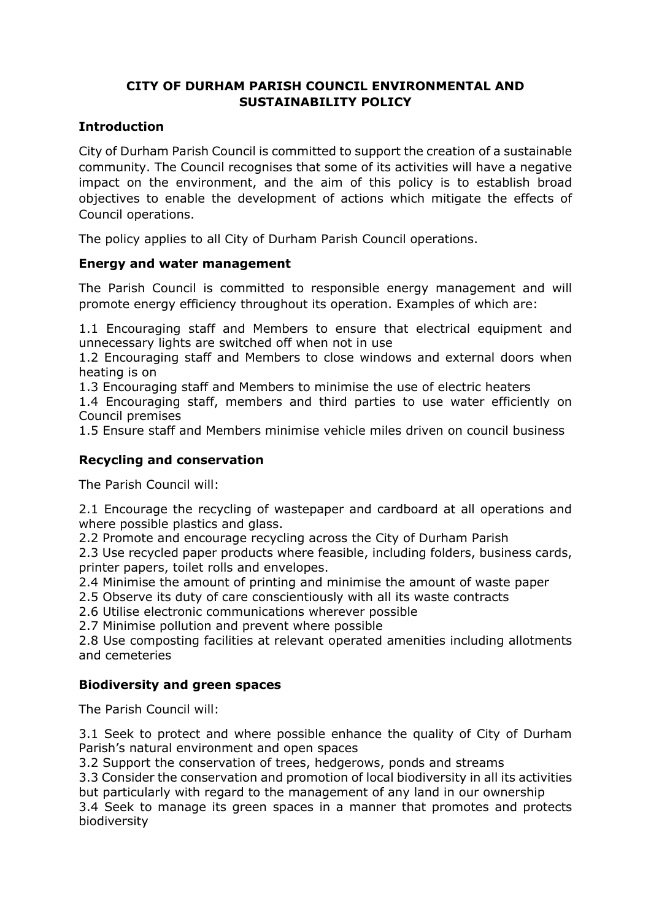# **CITY OF DURHAM PARISH COUNCIL ENVIRONMENTAL AND SUSTAINABILITY POLICY**

# **Introduction**

City of Durham Parish Council is committed to support the creation of a sustainable community. The Council recognises that some of its activities will have a negative impact on the environment, and the aim of this policy is to establish broad objectives to enable the development of actions which mitigate the effects of Council operations.

The policy applies to all City of Durham Parish Council operations.

### **Energy and water management**

The Parish Council is committed to responsible energy management and will promote energy efficiency throughout its operation. Examples of which are:

1.1 Encouraging staff and Members to ensure that electrical equipment and unnecessary lights are switched off when not in use

1.2 Encouraging staff and Members to close windows and external doors when heating is on

1.3 Encouraging staff and Members to minimise the use of electric heaters

1.4 Encouraging staff, members and third parties to use water efficiently on Council premises

1.5 Ensure staff and Members minimise vehicle miles driven on council business

## **Recycling and conservation**

The Parish Council will:

2.1 Encourage the recycling of wastepaper and cardboard at all operations and where possible plastics and glass.

2.2 Promote and encourage recycling across the City of Durham Parish

2.3 Use recycled paper products where feasible, including folders, business cards, printer papers, toilet rolls and envelopes.

2.4 Minimise the amount of printing and minimise the amount of waste paper

2.5 Observe its duty of care conscientiously with all its waste contracts

2.6 Utilise electronic communications wherever possible

2.7 Minimise pollution and prevent where possible

2.8 Use composting facilities at relevant operated amenities including allotments and cemeteries

### **Biodiversity and green spaces**

The Parish Council will:

3.1 Seek to protect and where possible enhance the quality of City of Durham Parish's natural environment and open spaces

3.2 Support the conservation of trees, hedgerows, ponds and streams

3.3 Consider the conservation and promotion of local biodiversity in all its activities but particularly with regard to the management of any land in our ownership

3.4 Seek to manage its green spaces in a manner that promotes and protects biodiversity